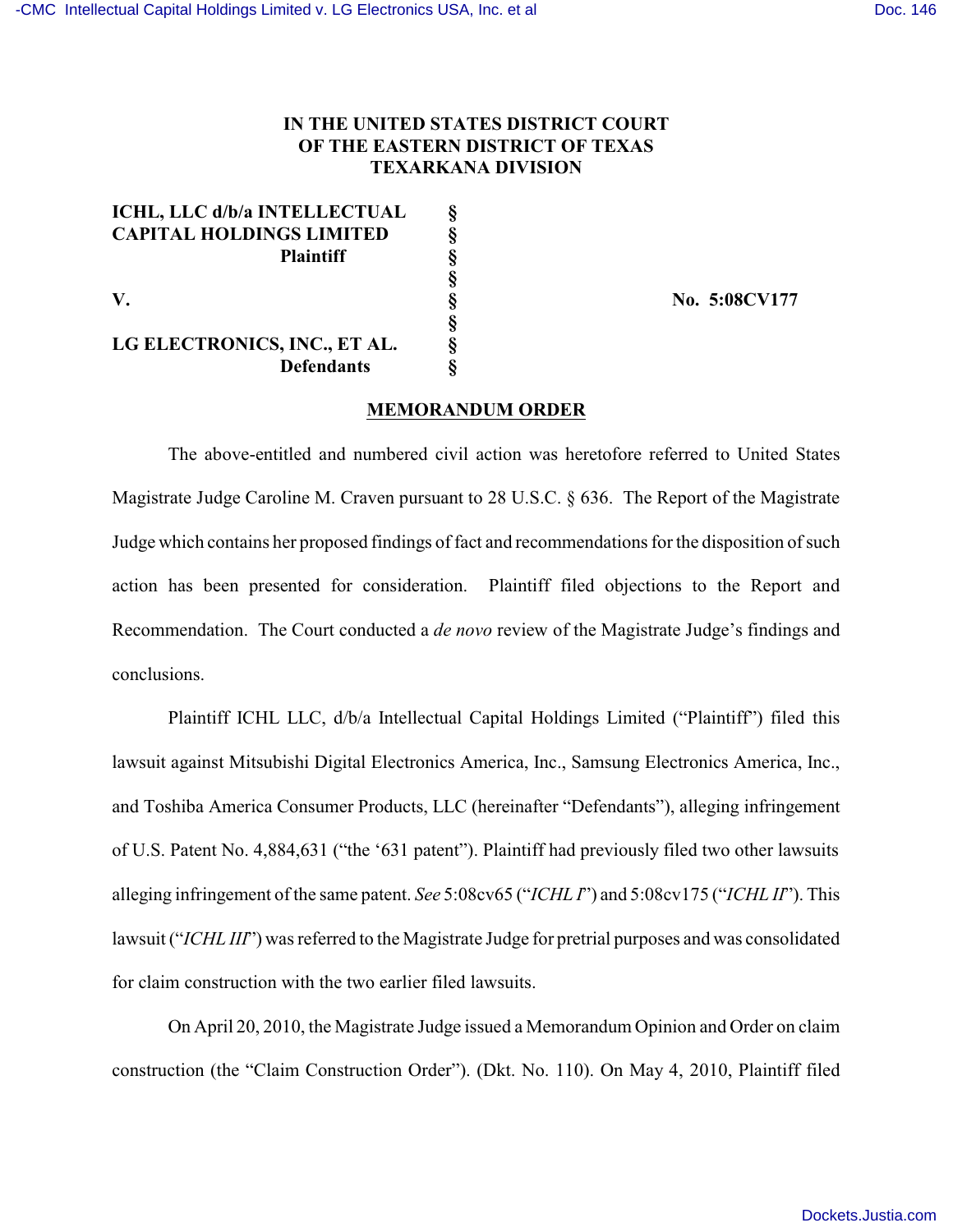## **IN THE UNITED STATES DISTRICT COURT OF THE EASTERN DISTRICT OF TEXAS TEXARKANA DIVISION**

| ICHL, LLC d/b/a INTELLECTUAL    | ş |
|---------------------------------|---|
| <b>CAPITAL HOLDINGS LIMITED</b> | ş |
| <b>Plaintiff</b>                | ş |
|                                 | ş |
| V.                              | ş |
|                                 | ş |
| LG ELECTRONICS, INC., ET AL.    | ş |
| <b>Defendants</b>               | 8 |

**V. § No. 5:08CV177**

## **MEMORANDUM ORDER**

The above-entitled and numbered civil action was heretofore referred to United States Magistrate Judge Caroline M. Craven pursuant to 28 U.S.C. § 636. The Report of the Magistrate Judge which contains her proposed findings of fact and recommendations for the disposition of such action has been presented for consideration. Plaintiff filed objections to the Report and Recommendation. The Court conducted a *de novo* review of the Magistrate Judge's findings and conclusions.

Plaintiff ICHL LLC, d/b/a Intellectual Capital Holdings Limited ("Plaintiff") filed this lawsuit against Mitsubishi Digital Electronics America, Inc., Samsung Electronics America, Inc., and Toshiba America Consumer Products, LLC (hereinafter "Defendants"), alleging infringement of U.S. Patent No. 4,884,631 ("the '631 patent"). Plaintiff had previously filed two other lawsuits alleging infringement of the same patent. *See* 5:08cv65 ("*ICHL I*") and 5:08cv175 ("*ICHL II*"). This lawsuit ("*ICHL III*") was referred to the Magistrate Judge for pretrial purposes and was consolidated for claim construction with the two earlier filed lawsuits.

On April 20, 2010, the Magistrate Judge issued a Memorandum Opinion and Order on claim construction (the "Claim Construction Order"). (Dkt. No. 110). On May 4, 2010, Plaintiff filed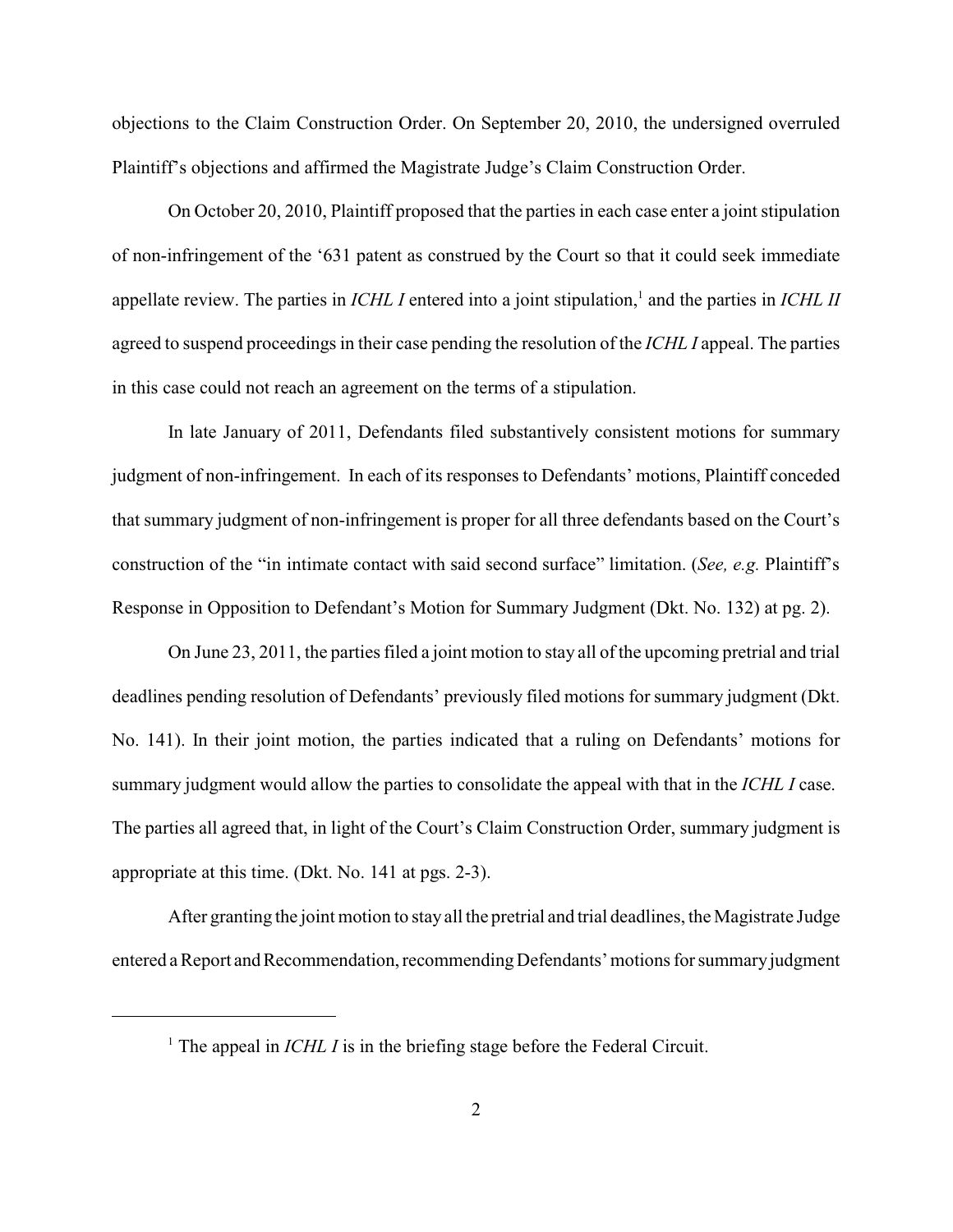objections to the Claim Construction Order. On September 20, 2010, the undersigned overruled Plaintiff's objections and affirmed the Magistrate Judge's Claim Construction Order.

On October 20, 2010, Plaintiff proposed that the parties in each case enter a joint stipulation of non-infringement of the '631 patent as construed by the Court so that it could seek immediate appellate review. The parties in *ICHL I* entered into a joint stipulation,<sup>1</sup> and the parties in *ICHL II* agreed to suspend proceedings in their case pending the resolution of the *ICHL I* appeal. The parties in this case could not reach an agreement on the terms of a stipulation.

In late January of 2011, Defendants filed substantively consistent motions for summary judgment of non-infringement. In each of its responses to Defendants' motions, Plaintiff conceded that summary judgment of non-infringement is proper for all three defendants based on the Court's construction of the "in intimate contact with said second surface" limitation. (*See, e.g.* Plaintiff's Response in Opposition to Defendant's Motion for Summary Judgment (Dkt. No. 132) at pg. 2).

On June 23, 2011, the parties filed a joint motion to stay all of the upcoming pretrial and trial deadlines pending resolution of Defendants' previously filed motions for summary judgment (Dkt. No. 141). In their joint motion, the parties indicated that a ruling on Defendants' motions for summary judgment would allow the parties to consolidate the appeal with that in the *ICHL I* case. The parties all agreed that, in light of the Court's Claim Construction Order, summary judgment is appropriate at this time. (Dkt. No. 141 at pgs. 2-3).

After granting the joint motion to stay all the pretrial and trial deadlines, the Magistrate Judge entered a Report and Recommendation, recommending Defendants' motions for summary judgment

<sup>&</sup>lt;sup>1</sup> The appeal in *ICHL I* is in the briefing stage before the Federal Circuit.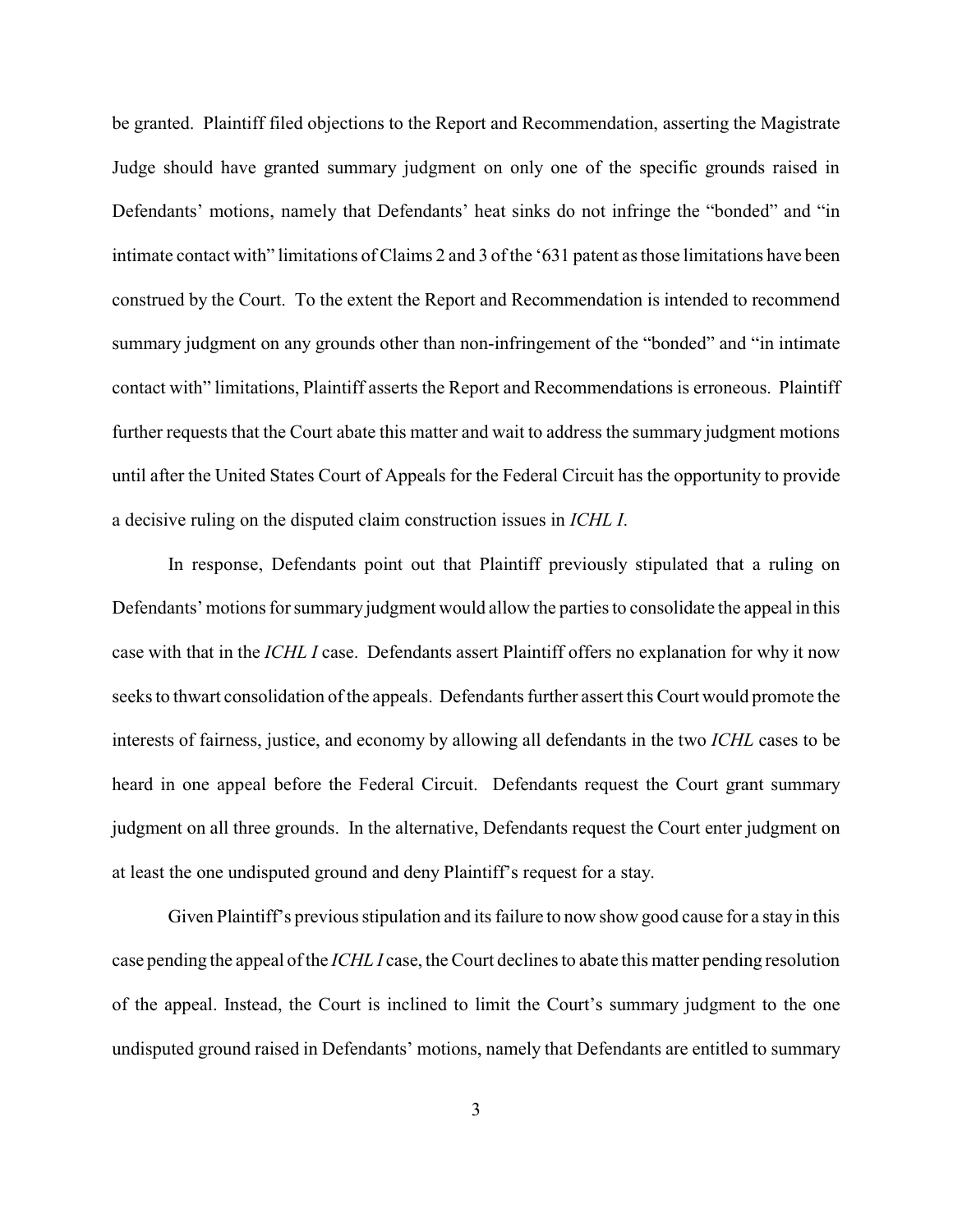be granted. Plaintiff filed objections to the Report and Recommendation, asserting the Magistrate Judge should have granted summary judgment on only one of the specific grounds raised in Defendants' motions, namely that Defendants' heat sinks do not infringe the "bonded" and "in intimate contact with" limitations of Claims 2 and 3 of the '631 patent as those limitations have been construed by the Court. To the extent the Report and Recommendation is intended to recommend summary judgment on any grounds other than non-infringement of the "bonded" and "in intimate contact with" limitations, Plaintiff asserts the Report and Recommendations is erroneous. Plaintiff further requests that the Court abate this matter and wait to address the summary judgment motions until after the United States Court of Appeals for the Federal Circuit has the opportunity to provide a decisive ruling on the disputed claim construction issues in *ICHL I*.

In response, Defendants point out that Plaintiff previously stipulated that a ruling on Defendants' motions for summary judgment would allow the parties to consolidate the appeal in this case with that in the *ICHL I* case. Defendants assert Plaintiff offers no explanation for why it now seeks to thwart consolidation of the appeals. Defendants further assert this Court would promote the interests of fairness, justice, and economy by allowing all defendants in the two *ICHL* cases to be heard in one appeal before the Federal Circuit. Defendants request the Court grant summary judgment on all three grounds. In the alternative, Defendants request the Court enter judgment on at least the one undisputed ground and deny Plaintiff's request for a stay.

Given Plaintiff's previous stipulation and its failure to now show good cause for a stay in this case pending the appeal of the *ICHL I* case, the Court declines to abate this matter pending resolution of the appeal. Instead, the Court is inclined to limit the Court's summary judgment to the one undisputed ground raised in Defendants' motions, namely that Defendants are entitled to summary